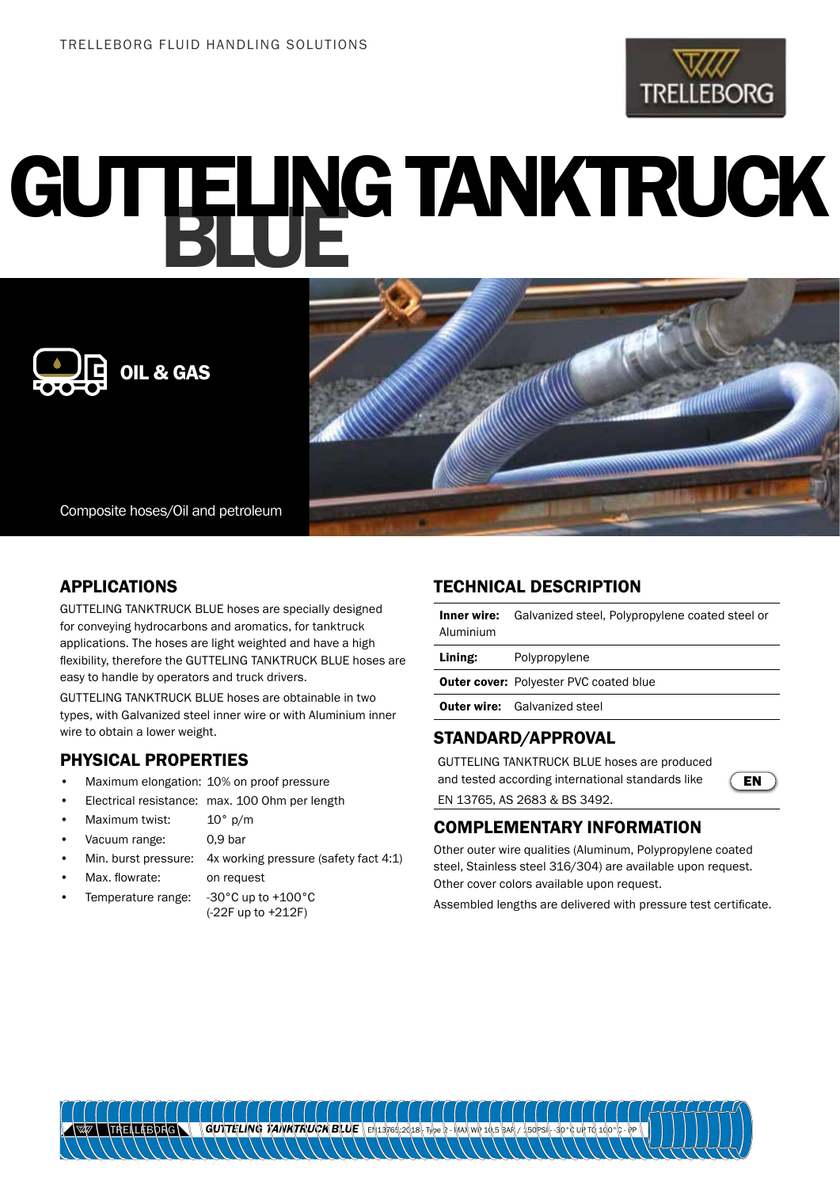

# GUTTELING TANKTRUCK





Composite hoses/Oil and petroleum

### APPLICATIONS

GUTTELING TANKTRUCK BLUE hoses are specially designed for conveying hydrocarbons and aromatics, for tanktruck applications. The hoses are light weighted and have a high flexibility, therefore the GUTTELING TANKTRUCK BLUE hoses are easy to handle by operators and truck drivers.

GUTTELING TANKTRUCK BLUE hoses are obtainable in two types, with Galvanized steel inner wire or with Aluminium inner wire to obtain a lower weight.

## PHYSICAL PROPERTIES

- Maximum elongation: 10% on proof pressure
- Electrical resistance: max. 100 Ohm per length
- Maximum twist: 10° p/m
- Vacuum range: 0,9 bar
- Min. burst pressure: 4x working pressure (safety fact 4:1)
	- Max. flowrate: on request
- Temperature range: -30°C up to +100°C
- (-22F up to +212F)

#### TECHNICAL DESCRIPTION

Inner wire: Galvanized steel, Polypropylene coated steel or Aluminium

Lining: Polypropylene

**Outer cover: Polyester PVC coated blue** 

**Outer wire:** Galvanized steel

#### STANDARD/APPROVAL

GUTTELING TANKTRUCK BLUE hoses are produced and tested according international standards like EN 13765, AS 2683 & BS 3492.



# COMPLEMENTARY INFORMATION

Other outer wire qualities (Aluminum, Polypropylene coated steel, Stainless steel 316/304) are available upon request. Other cover colors available upon request.

Assembled lengths are delivered with pressure test certificate.